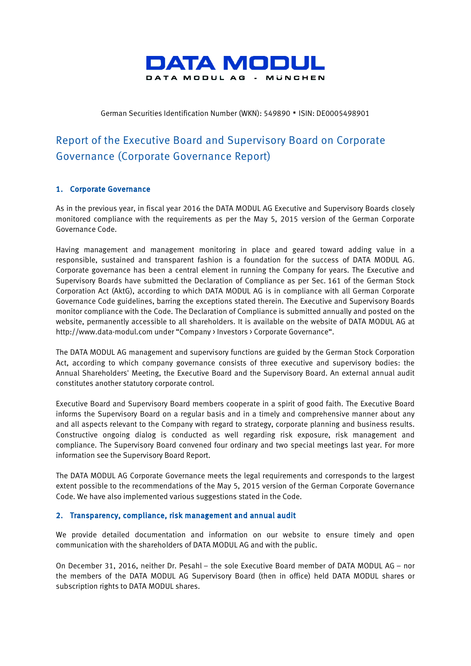

#### German Securities Identification Number (WKN): 549890 · ISIN: DE0005498901

# Report of the Executive Board and Supervisory Board on Corporate Governance (Corporate Governance Report)

## 1. Corporate Governance

As in the previous year, in fiscal year 2016 the DATA MODUL AG Executive and Supervisory Boards closely monitored compliance with the requirements as per the May 5, 2015 version of the German Corporate Governance Code.

Having management and management monitoring in place and geared toward adding value in a responsible, sustained and transparent fashion is a foundation for the success of DATA MODUL AG. Corporate governance has been a central element in running the Company for years. The Executive and Supervisory Boards have submitted the Declaration of Compliance as per Sec. 161 of the German Stock Corporation Act (AktG), according to which DATA MODUL AG is in compliance with all German Corporate Governance Code guidelines, barring the exceptions stated therein. The Executive and Supervisory Boards monitor compliance with the Code. The Declaration of Compliance is submitted annually and posted on the website, permanently accessible to all shareholders. It is available on the website of DATA MODUL AG at http://www.data-m[odul.com](http://www.data-modul.com) under "Company > Investors > Corporate Governance".

The DATA MODUL AG management and supervisory functions are guided by the German Stock Corporation Act, according to which company governance consists of three executive and supervisory bodies: the Annual Shareholders' Meeting, the Executive Board and the Supervisory Board. An external annual audit constitutes another statutory corporate control.

Executive Board and Supervisory Board members cooperate in a spirit of good faith. The Executive Board informs the Supervisory Board on a regular basis and in a timely and comprehensive manner about any and all aspects relevant to the Company with regard to strategy, corporate planning and business results. Constructive ongoing dialog is conducted as well regarding risk exposure, risk management and compliance. The Supervisory Board convened four ordinary and two special meetings last year. For more information see the Supervisory Board Report.

The DATA MODUL AG Corporate Governance meets the legal requirements and corresponds to the largest extent possible to the recommendations of the May 5, 2015 version of the German Corporate Governance Code. We have also implemented various suggestions stated in the Code.

## 2. Transparency, compliance, risk management and annual audit

We provide detailed documentation and information on our website to ensure timely and open communication with the shareholders of DATA MODUL AG and with the public.

On December 31, 2016, neither Dr. Pesahl – the sole Executive Board member of DATA MODUL AG – nor the members of the DATA MODUL AG Supervisory Board (then in office) held DATA MODUL shares or subscription rights to DATA MODUL shares.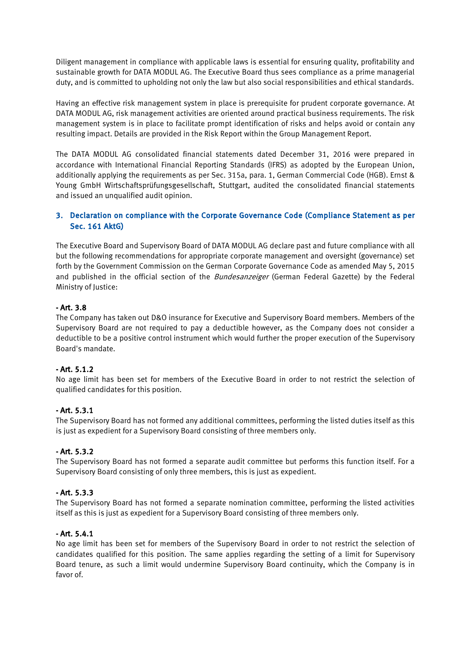Diligent management in compliance with applicable laws is essential for ensuring quality, profitability and sustainable growth for DATA MODUL AG. The Executive Board thus sees compliance as a prime managerial duty, and is committed to upholding not only the law but also social responsibilities and ethical standards.

Having an effective risk management system in place is prerequisite for prudent corporate governance. At DATA MODUL AG, risk management activities are oriented around practical business requirements. The risk management system is in place to facilitate prompt identification of risks and helps avoid or contain any resulting impact. Details are provided in the Risk Report within the Group Management Report.

The DATA MODUL AG consolidated financial statements dated December 31, 2016 were prepared in accordance with International Financial Reporting Standards (IFRS) as adopted by the European Union, additionally applying the requirements as per Sec. 315a, para. 1, German Commercial Code (HGB). Ernst & Young GmbH Wirtschaftsprüfungsgesellschaft, Stuttgart, audited the consolidated financial statements and issued an unqualified audit opinion.

## 3. Declaration on compliance with the Corporate Governance Code (Compliance Statement as per Sec. 161 AktG)

The Executive Board and Supervisory Board of DATA MODUL AG declare past and future compliance with all but the following recommendations for appropriate corporate management and oversight (governance) set forth by the Government Commission on the German Corporate Governance Code as amended May 5, 2015 and published in the official section of the Bundesanzeiger (German Federal Gazette) by the Federal Ministry of Justice:

## - Art. 3.8

The Company has taken out D&O insurance for Executive and Supervisory Board members. Members of the Supervisory Board are not required to pay a deductible however, as the Company does not consider a deductible to be a positive control instrument which would further the proper execution of the Supervisory Board's mandate.

## - Art. 5.1.2

No age limit has been set for members of the Executive Board in order to not restrict the selection of qualified candidates forthis position.

## - Art. 5.3.1

The Supervisory Board has not formed any additional committees, performing the listed duties itself as this is just as expedient for a Supervisory Board consisting of three members only.

## - Art. 5.3.2

The Supervisory Board has not formed a separate audit committee but performs this function itself. For a Supervisory Board consisting of only three members, this is just as expedient.

## - Art. 5.3.3

The Supervisory Board has not formed a separate nomination committee, performing the listed activities itself as this is just as expedient for a Supervisory Board consisting of three members only.

## - Art. 5.4.1

No age limit has been set for members of the Supervisory Board in order to not restrict the selection of candidates qualified for this position. The same applies regarding the setting of a limit for Supervisory Board tenure, as such a limit would undermine Supervisory Board continuity, which the Company is in favor of.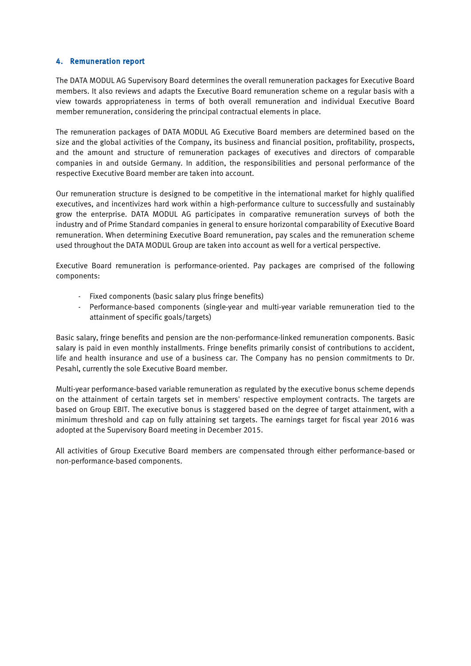## 4. Remuneration report

The DATA MODUL AG Supervisory Board determines the overall remuneration packages for Executive Board members. It also reviews and adapts the Executive Board remuneration scheme on a regular basis with a view towards appropriateness in terms of both overall remuneration and individual Executive Board member remuneration, considering the principal contractual elements in place.

The remuneration packages of DATA MODUL AG Executive Board members are determined based on the size and the global activities of the Company, its business and financial position, profitability, prospects, and the amount and structure of remuneration packages of executives and directors of comparable companies in and outside Germany. In addition, the responsibilities and personal performance of the respective Executive Board member are taken into account.

Our remuneration structure is designed to be competitive in the international market for highly qualified executives, and incentivizes hard work within a high-performance culture to successfully and sustainably grow the enterprise. DATA MODUL AG participates in comparative remuneration surveys of both the industry and of Prime Standard companies in general to ensure horizontal comparability of Executive Board remuneration. When determining Executive Board remuneration, pay scales and the remuneration scheme used throughout the DATA MODUL Group are taken into account as well for a vertical perspective.

Executive Board remuneration is performance-oriented. Pay packages are comprised of the following components:

- Fixed components (basic salary plus fringe benefits)
- Performance-based components (single-year and multi-year variable remuneration tied to the attainment of specific goals/targets)

Basic salary, fringe benefits and pension are the non-performance-linked remuneration components. Basic salary is paid in even monthly installments. Fringe benefits primarily consist of contributions to accident, life and health insurance and use of a business car. The Company has no pension commitments to Dr. Pesahl, currently the sole Executive Board member.

Multi-year performance-based variable remuneration as regulated by the executive bonus scheme depends on the attainment of certain targets set in members' respective employment contracts. The targets are based on Group EBIT. The executive bonus is staggered based on the degree of target attainment, with a minimum threshold and cap on fully attaining set targets. The earnings target for fiscal year 2016 was adopted at the Supervisory Board meeting in December 2015.

All activities of Group Executive Board members are compensated through either performance-based or non-performance-based components.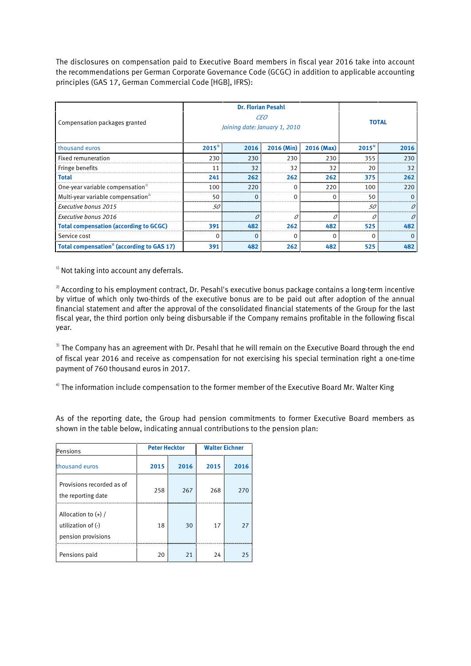The disclosures on compensation paid to Executive Board members in fiscal year 2016 take into account the recommendations per German Corporate Governance Code (GCGC) in addition to applicable accounting principles (GAS 17, German Commercial Code [HGB], IFRS):

| Compensation packages granted                         | <b>Dr. Florian Pesahl</b><br>CEO<br>Joining date: January 1, 2010 |      |            | <b>TOTAL</b> |                   |      |
|-------------------------------------------------------|-------------------------------------------------------------------|------|------------|--------------|-------------------|------|
| thousand euros                                        | $2015^{3}$                                                        | 2016 | 2016 (Min) | 2016 (Max)   | 2015 <sup>4</sup> | 2016 |
| <b>Fixed remuneration</b>                             | 230                                                               | 230  | 230        | 230          | 355               | 230  |
| Fringe benefits                                       | 11                                                                | 32   | 32         | 32           | 20                | 32   |
| <b>Total</b>                                          | 241                                                               | 262  | 262        | 262          | 375               | 262  |
| One-year variable compensation <sup>1)</sup>          | 100                                                               | 220  |            | 220          | 100               | 220  |
| Multi-year variable compensation <sup>2)</sup>        | 50                                                                |      |            | 0            | 50                |      |
| Executive bonus 2015                                  | 50                                                                |      |            |              | 50                |      |
| Executive bonus 2016                                  |                                                                   |      |            |              |                   |      |
| <b>Total compensation (according to GCGC)</b>         | 391                                                               | 482  | 262        | 482          | 525               | 482  |
| Service cost                                          |                                                                   |      |            | $\Omega$     | C                 |      |
| Total compensation <sup>3</sup> (according to GAS 17) | 391                                                               | 482  | 262        | 482          | 525               | 482  |

 $1)$  Not taking into account any deferrals.

 $2)$  According to his employment contract, Dr. Pesahl's executive bonus package contains a long-term incentive by virtue of which only two-thirds of the executive bonus are to be paid out after adoption of the annual financial statement and after the approval of the consolidated financial statements of the Group for the last fiscal year, the third portion only being disbursable if the Company remains profitable in the following fiscal year.

<sup>3)</sup> The Company has an agreement with Dr. Pesahl that he will remain on the Executive Board through the end of fiscal year 2016 and receive as compensation for not exercising his special termination right a one-time payment of 760 thousand euros in 2017.

 $4$ ) The information include compensation to the former member of the Executive Board Mr. Walter King

As of the reporting date, the Group had pension commitments to former Executive Board members as shown in the table below, indicating annual contributions to the pension plan:

| Pensions                                                                | <b>Peter Hecktor</b> |      | <b>Walter Eichner</b> |      |  |
|-------------------------------------------------------------------------|----------------------|------|-----------------------|------|--|
| thousand euros                                                          | 2015                 | 2016 | 2015                  | 2016 |  |
| Provisions recorded as of<br>the reporting date                         | 258                  | 267  | 268                   | 270  |  |
| Allocation to $(+)$ /<br>utilization of $(\cdot)$<br>pension provisions | 18                   | 30   | 17                    | 27   |  |
| Pensions paid                                                           | 20                   | 21   | 24                    | 25   |  |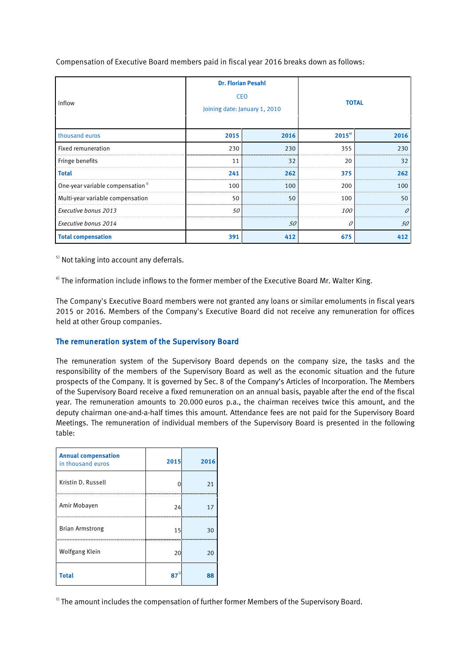Compensation of Executive Board members paid in fiscal year 2016 breaks down as follows:

| Inflow                                       | <b>Dr. Florian Pesahl</b><br><b>CEO</b><br>Joining date: January 1, 2010 |      | <b>TOTAL</b>   |      |  |
|----------------------------------------------|--------------------------------------------------------------------------|------|----------------|------|--|
| thousand euros                               | 2015                                                                     | 2016 | $2015^{\circ}$ | 2016 |  |
| Fixed remuneration                           | 230                                                                      | 230  | 355            | 230  |  |
| Fringe benefits                              | 11                                                                       | 32   | 20             | 32   |  |
| <b>Total</b>                                 | 241                                                                      | 262  | 375            | 262  |  |
| One-year variable compensation <sup>5)</sup> | 100                                                                      | 100  | 200            | 100  |  |
| Multi-year variable compensation             | 50                                                                       | 50   | 100            | 50   |  |
| Executive bonus 2013                         | 50                                                                       |      | <i>100</i>     |      |  |
| Executive bonus 2014                         |                                                                          | 50   |                | 50   |  |
| <b>Total compensation</b>                    | 391                                                                      | 412  | 675            | 412  |  |

<sup>5)</sup> Not taking into account any deferrals.

 $\degree$  The information include inflows to the former member of the Executive Board Mr. Walter King.

The Company's Executive Board members were not granted any loans or similar emoluments in fiscal years 2015 or 2016. Members of the Company's Executive Board did not receive any remuneration for offices held at other Group companies.

## The remuneration system of the Supervisory Board

The remuneration system of the Supervisory Board depends on the company size, the tasks and the responsibility of the members of the Supervisory Board as well as the economic situation and the future prospects of the Company. It is governed by Sec. 8 of the Company's Articles of Incorporation. The Members of the Supervisory Board receive a fixed remuneration on an annual basis, payable after the end of the fiscal year. The remuneration amounts to 20.000 euros p.a., the chairman receives twice this amount, and the deputy chairman one-and-a-half times this amount. Attendance fees are not paid for the Supervisory Board Meetings. The remuneration of individual members of the Supervisory Board is presented in the following table:

| <b>Annual compensation</b><br>in thousand euros | 2015 | 2016 |
|-------------------------------------------------|------|------|
| Kristin D. Russell                              |      | 21   |
| Amir Mobayen                                    | 24   | 17   |
| <b>Brian Armstrong</b>                          | 15   | 30   |
| Wolfgang Klein                                  | 20   | 20   |
| <b>Total</b>                                    | 87   | 88   |

<sup>1)</sup> The amount includes the compensation of further former Members of the Supervisory Board.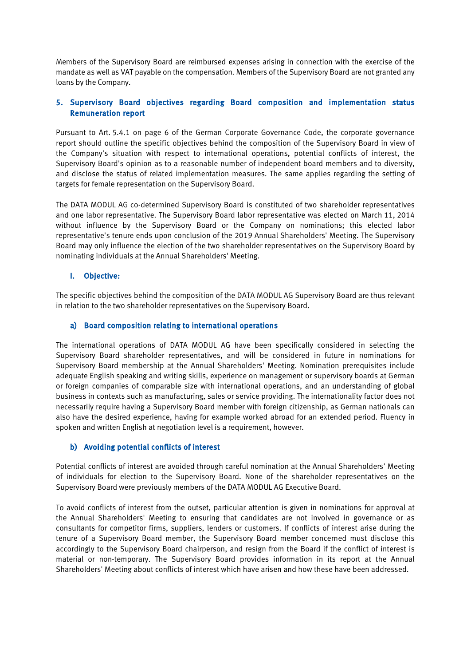Members of the Supervisory Board are reimbursed expenses arising in connection with the exercise of the mandate as well as VAT payable on the compensation. Members of the Supervisory Board are not granted any loans by the Company.

## 5. Supervisory Board objectives regarding Board composition and implementation status **Remuneration report**

Pursuant to Art. 5.4.1 on page 6 of the German Corporate Governance Code, the corporate governance report should outline the specific objectives behind the composition of the Supervisory Board in view of the Company's situation with respect to international operations, potential conflicts of interest, the Supervisory Board's opinion as to a reasonable number of independent board members and to diversity, and disclose the status of related implementation measures. The same applies regarding the setting of targets for female representation on the Supervisory Board.

The DATA MODUL AG co-determined Supervisory Board is constituted of two shareholder representatives and one labor representative. The Supervisory Board labor representative was elected on March 11, 2014 without influence by the Supervisory Board or the Company on nominations; this elected labor representative's tenure ends upon conclusion of the 2019 Annual Shareholders' Meeting. The Supervisory Board may only influence the election of the two shareholder representatives on the Supervisory Board by nominating individuals at the Annual Shareholders' Meeting.

## I. Objective:

The specific objectives behind the composition of the DATA MODUL AG Supervisory Board are thus relevant in relation to the two shareholder representatives on the Supervisory Board.

## a) Board composition relating to international operations

The international operations of DATA MODUL AG have been specifically considered in selecting the Supervisory Board shareholder representatives, and will be considered in future in nominations for Supervisory Board membership at the Annual Shareholders' Meeting. Nomination prerequisites include adequate English speaking and writing skills, experience on management or supervisory boards at German or foreign companies of comparable size with international operations, and an understanding of global business in contexts such as manufacturing, sales or service providing. The internationality factor does not necessarily require having a Supervisory Board member with foreign citizenship, as German nationals can also have the desired experience, having for example worked abroad for an extended period. Fluency in spoken and written English at negotiation level is a requirement, however.

## b) Avoiding potential conflicts of interest

Potential conflicts of interest are avoided through careful nomination at the Annual Shareholders' Meeting of individuals for election to the Supervisory Board. None of the shareholder representatives on the Supervisory Board were previously members of the DATA MODUL AG Executive Board.

To avoid conflicts of interest from the outset, particular attention is given in nominations for approval at the Annual Shareholders' Meeting to ensuring that candidates are not involved in governance or as consultants for competitor firms, suppliers, lenders or customers. If conflicts of interest arise during the tenure of a Supervisory Board member, the Supervisory Board member concerned must disclose this accordingly to the Supervisory Board chairperson, and resign from the Board if the conflict of interest is material or non-temporary. The Supervisory Board provides information in its report at the Annual Shareholders' Meeting about conflicts of interest which have arisen and how these have been addressed.